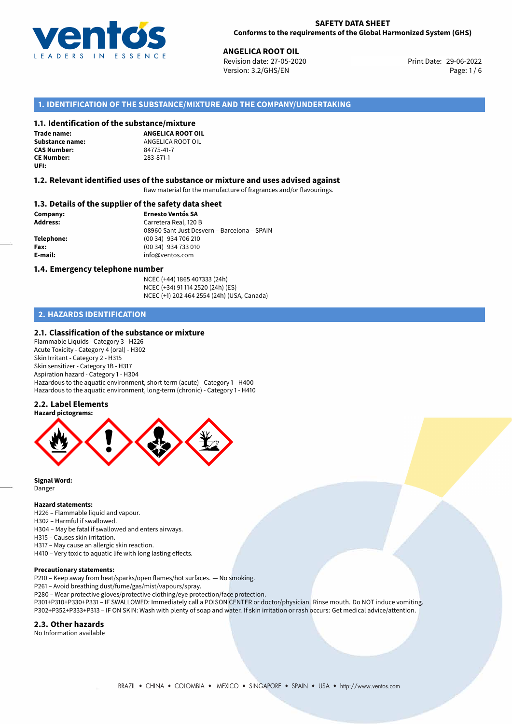

**ANGELICA ROOT OIL**<br> **29-06-2022 Revision date: 27-05-2020** Print Date: 29-06-2022 Version: 3.2/GHS/EN Page: 1 / 6

## **1. IDENTIFICATION OF THE SUBSTANCE/MIXTURE AND THE COMPANY/UNDERTAKING**

### **1.1. Identification of the substance/mixture**

**Trade name: CAS Number:** 84775-41-7 **CE Number:** 283-871-1 **UFI:**

**ANGELICA ROOT OIL Substance name:** ANGELICA ROOT OIL<br> **CAS Number:** 84775-41-7

### **1.2. Relevant identified uses of the substance or mixture and uses advised against**

Raw material for the manufacture of fragrances and/or flavourings.

### **1.3. Details of the supplier of the safety data sheet**

**Company: Ernesto Ventós SA Address:** Carretera Real, 120 B 08960 Sant Just Desvern – Barcelona – SPAIN **Telephone:** (00 34) 934 706 210 **Fax:** (00 34) 934 733 010 **E-mail:** info@ventos.com

### **1.4. Emergency telephone number**

NCEC (+44) 1865 407333 (24h) NCEC (+34) 91 114 2520 (24h) (ES) NCEC (+1) 202 464 2554 (24h) (USA, Canada)

## **2. HAZARDS IDENTIFICATION**

### **2.1. Classification of the substance or mixture**

Flammable Liquids - Category 3 - H226 Acute Toxicity - Category 4 (oral) - H302 Skin Irritant - Category 2 - H315 Skin sensitizer - Category 1B - H317 Aspiration hazard - Category 1 - H304 Hazardous to the aquatic environment, short-term (acute) - Category 1 - H400 Hazardous to the aquatic environment, long-term (chronic) - Category 1 - H410

### **2.2. Label Elements**



**Signal Word:** Danger

### **Hazard statements:**

H226 – Flammable liquid and vapour.

- H302 Harmful if swallowed.
- H304 May be fatal if swallowed and enters airways.
- H315 Causes skin irritation.
- H317 May cause an allergic skin reaction.
- H410 Very toxic to aquatic life with long lasting effects.

### **Precautionary statements:**

P210 – Keep away from heat/sparks/open flames/hot surfaces. — No smoking.

- P261 Avoid breathing dust/fume/gas/mist/vapours/spray.
- P280 Wear protective gloves/protective clothing/eye protection/face protection.
- P301+P310+P330+P331 IF SWALLOWED: Immediately call a POISON CENTER or doctor/physician. Rinse mouth. Do NOT induce vomiting. P302+P352+P333+P313 – IF ON SKIN: Wash with plenty of soap and water. If skin irritation or rash occurs: Get medical advice/attention.

### **2.3. Other hazards**

No Information available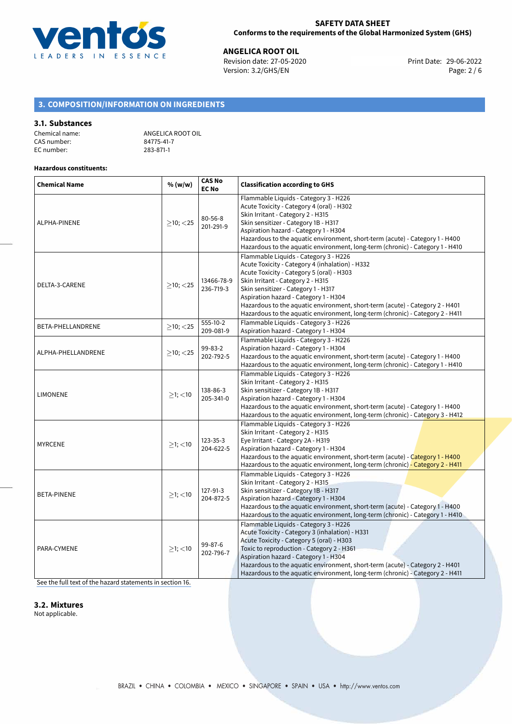

**ANGELICA ROOT OIL**<br>
Revision date: 27-05-2020 **Print Date: 29-06-2022** Version: 3.2/GHS/EN Page: 2 / 6

# **3. COMPOSITION/INFORMATION ON INGREDIENTS**

### **3.1. Substances**

| Chemical name: | ANGELIC   |
|----------------|-----------|
| CAS number:    | 84775-41  |
| EC number:     | 283-871-1 |

GELICA ROOT OIL 75-41-7<br>-871-1

### **Hazardous constituents:**

| <b>Chemical Name</b> | % (w/w)        | <b>CAS No</b><br><b>EC No</b> | <b>Classification according to GHS</b>                                                                                                                                                                                                                                                                                                                                                                                      |  |  |
|----------------------|----------------|-------------------------------|-----------------------------------------------------------------------------------------------------------------------------------------------------------------------------------------------------------------------------------------------------------------------------------------------------------------------------------------------------------------------------------------------------------------------------|--|--|
| ALPHA-PINENE         | $>10$ ; $<$ 25 | $80 - 56 - 8$<br>201-291-9    | Flammable Liquids - Category 3 - H226<br>Acute Toxicity - Category 4 (oral) - H302<br>Skin Irritant - Category 2 - H315<br>Skin sensitizer - Category 1B - H317<br>Aspiration hazard - Category 1 - H304<br>Hazardous to the aquatic environment, short-term (acute) - Category 1 - H400<br>Hazardous to the aquatic environment, long-term (chronic) - Category 1 - H410                                                   |  |  |
| DELTA-3-CARENE       | $>10$ ; $<$ 25 | 13466-78-9<br>236-719-3       | Flammable Liquids - Category 3 - H226<br>Acute Toxicity - Category 4 (inhalation) - H332<br>Acute Toxicity - Category 5 (oral) - H303<br>Skin Irritant - Category 2 - H315<br>Skin sensitizer - Category 1 - H317<br>Aspiration hazard - Category 1 - H304<br>Hazardous to the aquatic environment, short-term (acute) - Category 2 - H401<br>Hazardous to the aquatic environment, long-term (chronic) - Category 2 - H411 |  |  |
| BETA-PHELLANDRENE    | $\geq$ 10; <25 | 555-10-2<br>209-081-9         | Flammable Liquids - Category 3 - H226<br>Aspiration hazard - Category 1 - H304                                                                                                                                                                                                                                                                                                                                              |  |  |
| ALPHA-PHELLANDRENE   | $>10$ ; $<$ 25 | 99-83-2<br>202-792-5          | Flammable Liquids - Category 3 - H226<br>Aspiration hazard - Category 1 - H304<br>Hazardous to the aquatic environment, short-term (acute) - Category 1 - H400<br>Hazardous to the aquatic environment, long-term (chronic) - Category 1 - H410                                                                                                                                                                             |  |  |
| <b>LIMONENE</b>      | $\geq$ 1; <10  | 138-86-3<br>205-341-0         | Flammable Liquids - Category 3 - H226<br>Skin Irritant - Category 2 - H315<br>Skin sensitizer - Category 1B - H317<br>Aspiration hazard - Category 1 - H304<br>Hazardous to the aquatic environment, short-term (acute) - Category 1 - H400<br>Hazardous to the aquatic environment, long-term (chronic) - Category 3 - H412                                                                                                |  |  |
| <b>MYRCENE</b>       | $\geq$ 1; <10  | $123 - 35 - 3$<br>204-622-5   | Flammable Liquids - Category 3 - H226<br>Skin Irritant - Category 2 - H315<br>Eye Irritant - Category 2A - H319<br>Aspiration hazard - Category 1 - H304<br>Hazardous to the aquatic environment, short-term (acute) - Category 1 - H400<br>Hazardous to the aquatic environment, long-term (chronic) - Category 2 - H411                                                                                                   |  |  |
| <b>BETA-PINENE</b>   | $>1$ ; $<$ 10  | 127-91-3<br>204-872-5         | Flammable Liquids - Category 3 - H226<br>Skin Irritant - Category 2 - H315<br>Skin sensitizer - Category 1B - H317<br>Aspiration hazard - Category 1 - H304<br>Hazardous to the aquatic environment, short-term (acute) - Category 1 - H400<br>Hazardous to the aquatic environment, long-term (chronic) - Category 1 - H410                                                                                                |  |  |
| PARA-CYMENE          | $\geq$ 1; <10  | 99-87-6<br>202-796-7          | Flammable Liquids - Category 3 - H226<br>Acute Toxicity - Category 3 (inhalation) - H331<br>Acute Toxicity - Category 5 (oral) - H303<br>Toxic to reproduction - Category 2 - H361<br>Aspiration hazard - Category 1 - H304<br>Hazardous to the aquatic environment, short-term (acute) - Category 2 - H401<br>Hazardous to the aquatic environment, long-term (chronic) - Category 2 - H411                                |  |  |

[See the full text of the hazard statements in section 16.](#page-5-0)

### **3.2. Mixtures**

Not applicable.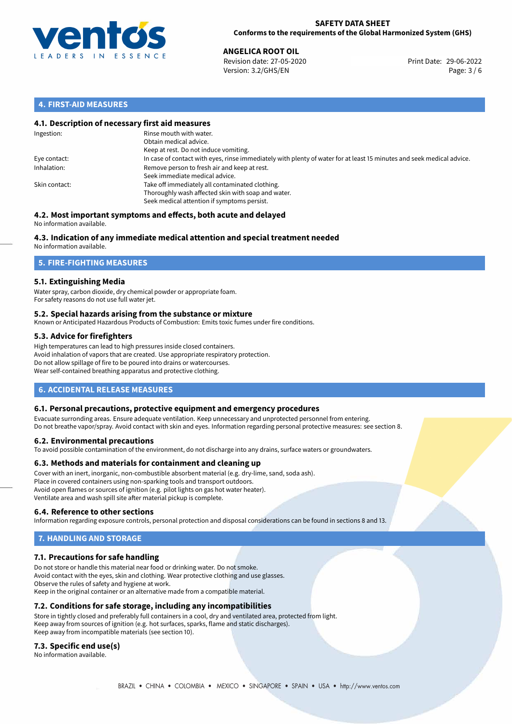

### **SAFETY DATA SHEET Conforms to the requirements of the Global Harmonized System (GHS)**

**ANGELICA ROOT OIL**<br>
Revision date: 27-05-2020 **Print Date: 29-06-2022** Version: 3.2/GHS/EN Page: 3 / 6

## **4. FIRST-AID MEASURES**

### **4.1. Description of necessary first aid measures**

| Ingestion:    | Rinse mouth with water.<br>Obtain medical advice.<br>Keep at rest. Do not induce vomiting.                                                           |
|---------------|------------------------------------------------------------------------------------------------------------------------------------------------------|
| Eye contact:  | In case of contact with eyes, rinse immediately with plenty of water for at least 15 minutes and seek medical advice.                                |
| Inhalation:   | Remove person to fresh air and keep at rest.<br>Seek immediate medical advice.                                                                       |
| Skin contact: | Take off immediately all contaminated clothing.<br>Thoroughly wash affected skin with soap and water.<br>Seek medical attention if symptoms persist. |

### **4.2. Most important symptoms and effects, both acute and delayed** No information available.

# **4.3. Indication of any immediate medical attention and special treatment needed**

No information available.

# **5. FIRE-FIGHTING MEASURES**

## **5.1. Extinguishing Media**

Water spray, carbon dioxide, dry chemical powder or appropriate foam. For safety reasons do not use full water jet.

### **5.2. Special hazards arising from the substance or mixture**

Known or Anticipated Hazardous Products of Combustion: Emits toxic fumes under fire conditions.

## **5.3. Advice for firefighters**

High temperatures can lead to high pressures inside closed containers. Avoid inhalation of vapors that are created. Use appropriate respiratory protection. Do not allow spillage of fire to be poured into drains or watercourses. Wear self-contained breathing apparatus and protective clothing.

## **6. ACCIDENTAL RELEASE MEASURES**

### **6.1. Personal precautions, protective equipment and emergency procedures**

Evacuate surronding areas. Ensure adequate ventilation. Keep unnecessary and unprotected personnel from entering. Do not breathe vapor/spray. Avoid contact with skin and eyes. Information regarding personal protective measures: see section 8.

### **6.2. Environmental precautions**

To avoid possible contamination of the environment, do not discharge into any drains, surface waters or groundwaters.

### **6.3. Methods and materials for containment and cleaning up**

Cover with an inert, inorganic, non-combustible absorbent material (e.g. dry-lime, sand, soda ash). Place in covered containers using non-sparking tools and transport outdoors. Avoid open flames or sources of ignition (e.g. pilot lights on gas hot water heater). Ventilate area and wash spill site after material pickup is complete.

### **6.4. Reference to other sections**

Information regarding exposure controls, personal protection and disposal considerations can be found in sections 8 and 13.

# **7. HANDLING AND STORAGE**

### **7.1. Precautions for safe handling**

Do not store or handle this material near food or drinking water. Do not smoke. Avoid contact with the eyes, skin and clothing. Wear protective clothing and use glasses. Observe the rules of safety and hygiene at work. Keep in the original container or an alternative made from a compatible material.

### **7.2. Conditions for safe storage, including any incompatibilities**

Store in tightly closed and preferably full containers in a cool, dry and ventilated area, protected from light. Keep away from sources of ignition (e.g. hot surfaces, sparks, flame and static discharges). Keep away from incompatible materials (see section 10).

### **7.3. Specific end use(s)**

No information available.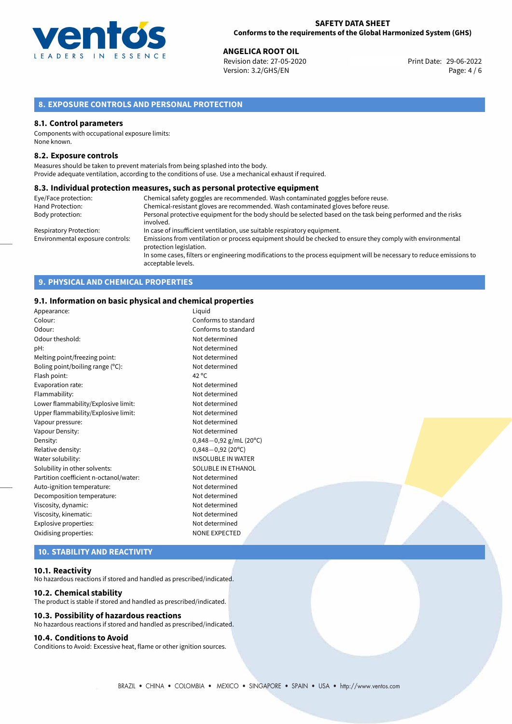

**ANGELICA ROOT OIL**<br>
Revision date: 27-05-2020 **Print Date: 29-06-2022** Version: 3.2/GHS/EN Page: 4 / 6

# **8. EXPOSURE CONTROLS AND PERSONAL PROTECTION**

### **8.1. Control parameters**

Components with occupational exposure limits: None known.

### **8.2. Exposure controls**

Measures should be taken to prevent materials from being splashed into the body. Provide adequate ventilation, according to the conditions of use. Use a mechanical exhaust if required.

### **8.3. Individual protection measures, such as personal protective equipment**

| Eye/Face protection:             | Chemical safety goggles are recommended. Wash contaminated goggles before reuse.                                                            |
|----------------------------------|---------------------------------------------------------------------------------------------------------------------------------------------|
| Hand Protection:                 | Chemical-resistant gloves are recommended. Wash contaminated gloves before reuse.                                                           |
| Body protection:                 | Personal protective equipment for the body should be selected based on the task being performed and the risks                               |
|                                  | involved.                                                                                                                                   |
| <b>Respiratory Protection:</b>   | In case of insufficient ventilation, use suitable respiratory equipment.                                                                    |
| Environmental exposure controls: | Emissions from ventilation or process equipment should be checked to ensure they comply with environmental<br>protection legislation.       |
|                                  | In some cases, filters or engineering modifications to the process equipment will be necessary to reduce emissions to<br>acceptable levels. |

# **9. PHYSICAL AND CHEMICAL PROPERTIES**

### **9.1. Information on basic physical and chemical properties**

| Appearance:                            | Liguid                      |
|----------------------------------------|-----------------------------|
| Colour:                                | Conforms to standard        |
| Odour:                                 | Conforms to standard        |
| Odour theshold:                        | Not determined              |
| pH:                                    | Not determined              |
| Melting point/freezing point:          | Not determined              |
| Boling point/boiling range (°C):       | Not determined              |
| Flash point:                           | 42 $^{\circ}$ C             |
| Evaporation rate:                      | Not determined              |
| Flammability:                          | Not determined              |
| Lower flammability/Explosive limit:    | Not determined              |
| Upper flammability/Explosive limit:    | Not determined              |
| Vapour pressure:                       | Not determined              |
| Vapour Density:                        | Not determined              |
| Density:                               | $0,848-0,92$ g/mL (20°C)    |
| Relative density:                      | $0,848 - 0,92(20^{\circ}C)$ |
| Water solubility:                      | <b>INSOLUBLE IN WATER</b>   |
| Solubility in other solvents:          | SOLUBLE IN ETHANOL          |
| Partition coefficient n-octanol/water: | Not determined              |
| Auto-ignition temperature:             | Not determined              |
| Decomposition temperature:             | Not determined              |
| Viscosity, dynamic:                    | Not determined              |
| Viscosity, kinematic:                  | Not determined              |
| Explosive properties:                  | Not determined              |
| Oxidising properties:                  | <b>NONE EXPECTED</b>        |
|                                        |                             |

# **10. STABILITY AND REACTIVITY**

### **10.1. Reactivity**

No hazardous reactions if stored and handled as prescribed/indicated.

### **10.2. Chemical stability**

The product is stable if stored and handled as prescribed/indicated.

### **10.3. Possibility of hazardous reactions**

No hazardous reactions if stored and handled as prescribed/indicated.

## **10.4. Conditions to Avoid**

Conditions to Avoid: Excessive heat, flame or other ignition sources.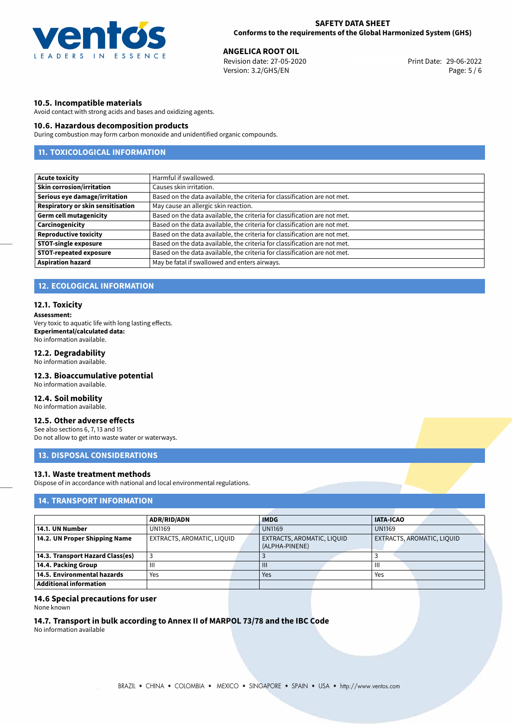

**ANGELICA ROOT OIL**<br>
Revision date: 27-05-2020 **Print Date: 29-06-2022** Version: 3.2/GHS/EN Page: 5 / 6

### **10.5. Incompatible materials**

Avoid contact with strong acids and bases and oxidizing agents.

### **10.6. Hazardous decomposition products**

During combustion may form carbon monoxide and unidentified organic compounds.

# **11. TOXICOLOGICAL INFORMATION**

| <b>Acute toxicity</b>                    | Harmful if swallowed.                                                     |
|------------------------------------------|---------------------------------------------------------------------------|
| <b>Skin corrosion/irritation</b>         | Causes skin irritation.                                                   |
| Serious eye damage/irritation            | Based on the data available, the criteria for classification are not met. |
| <b>Respiratory or skin sensitisation</b> | May cause an allergic skin reaction.                                      |
| <b>Germ cell mutagenicity</b>            | Based on the data available, the criteria for classification are not met. |
| Carcinogenicity                          | Based on the data available, the criteria for classification are not met. |
| <b>Reproductive toxicity</b>             | Based on the data available, the criteria for classification are not met. |
| <b>STOT-single exposure</b>              | Based on the data available, the criteria for classification are not met. |
| <b>STOT-repeated exposure</b>            | Based on the data available, the criteria for classification are not met. |
| <b>Aspiration hazard</b>                 | May be fatal if swallowed and enters airways.                             |

# **12. ECOLOGICAL INFORMATION**

### **12.1. Toxicity**

**Assessment:**

Very toxic to aquatic life with long lasting effects. **Experimental/calculated data:** No information available.

## **12.2. Degradability**

No information available.

### **12.3. Bioaccumulative potential**

No information available.

### **12.4. Soil mobility**

No information available.

## **12.5. Other adverse effects**

See also sections 6, 7, 13 and 15 Do not allow to get into waste water or waterways.

# **13. DISPOSAL CONSIDERATIONS**

## **13.1. Waste treatment methods**

Dispose of in accordance with national and local environmental regulations.

## **14. TRANSPORT INFORMATION**

|                                  | <b>ADR/RID/ADN</b>         |  | <b>IMDG</b>                                  |  | <b>IATA-ICAO</b> |                            |
|----------------------------------|----------------------------|--|----------------------------------------------|--|------------------|----------------------------|
| 14.1. UN Number                  | <b>UN1169</b>              |  | <b>UN1169</b>                                |  | <b>UN1169</b>    |                            |
| 14.2. UN Proper Shipping Name    | EXTRACTS, AROMATIC, LIQUID |  | EXTRACTS, AROMATIC, LIQUID<br>(ALPHA-PINENE) |  |                  | EXTRACTS, AROMATIC, LIQUID |
| 14.3. Transport Hazard Class(es) |                            |  |                                              |  |                  |                            |
| 14.4. Packing Group              | Ш                          |  | $\mathbf{III}$                               |  | Ш                |                            |
| 14.5. Environmental hazards      | Yes                        |  | Yes                                          |  | Yes              |                            |
| <b>Additional information</b>    |                            |  |                                              |  |                  |                            |

### **14.6 Special precautions for user**

None known

# **14.7. Transport in bulk according to Annex II of MARPOL 73/78 and the IBC Code**

No information available